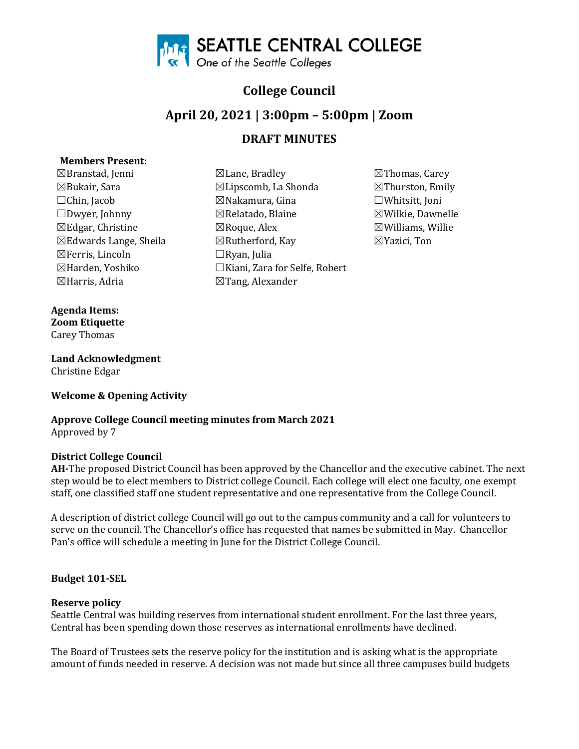

# **College Council**

# **April 20, 2021 | 3:00pm – 5:00pm | Zoom**

## **DRAFT MINUTES**

## **Members Present:**

 $\boxtimes$ Bukair, Sara  $\boxtimes$ Lipscomb, La Shonda ☒Ferris, Lincoln ☐Ryan, Julia

**Agenda Items: Zoom Etiquette**  Carey Thomas

**Land Acknowledgment**  Christine Edgar

## **Welcome & Opening Activity**

**Approve College Council meeting minutes from March 2021**  Approved by 7

## **District College Council**

**AH-**The proposed District Council has been approved by the Chancellor and the executive cabinet. The next step would be to elect members to District college Council. Each college will elect one faculty, one exempt staff, one classified staff one student representative and one representative from the College Council.

A description of district college Council will go out to the campus community and a call for volunteers to serve on the council. The Chancellor's office has requested that names be submitted in May. Chancellor Pan's office will schedule a meeting in June for the District College Council.

## **Budget 101-SEL**

#### **Reserve policy**

Seattle Central was building reserves from international student enrollment. For the last three years, Central has been spending down those reserves as international enrollments have declined.

The Board of Trustees sets the reserve policy for the institution and is asking what is the appropriate amount of funds needed in reserve. A decision was not made but since all three campuses build budgets

- $\boxtimes$ Branstad, Jenni  $\boxtimes$ Lane, Bradley  $\boxtimes$ Thomas, Carey  $\boxtimes$ Bukair, Sara  $\boxtimes$ Thurston, Emily ☐Chin, Jacob ☒Nakamura, Gina ☐Whitsitt, Joni  $\boxtimes$ Edgar, Christine  $\boxtimes$ Roque, Alex  $\boxtimes$ Williams, Willie  $\boxtimes$ Edwards Lange, Sheila  $\boxtimes$ Rutherford, Kay  $\boxtimes$ Yazici, Ton ☒Harden, Yoshiko ☐Kiani, Zara for Selfe, Robert  $\boxtimes$ Tang, Alexander
	- ⊠Wilkie, Dawnelle